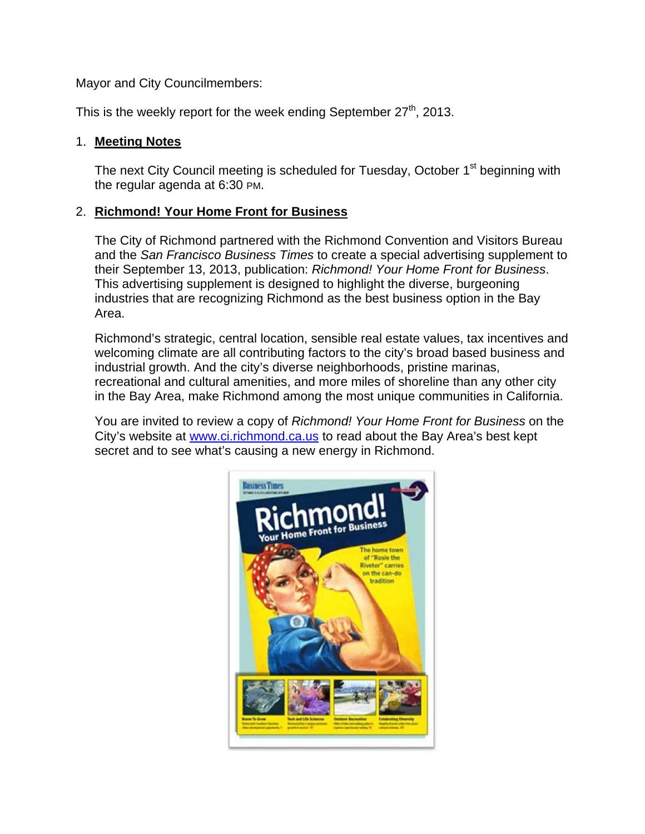Mayor and City Councilmembers:

This is the weekly report for the week ending September  $27<sup>th</sup>$ , 2013.

### 1. **Meeting Notes**

The next City Council meeting is scheduled for Tuesday, October 1<sup>st</sup> beginning with the regular agenda at 6:30 PM.

## 2. **Richmond! Your Home Front for Business**

The City of Richmond partnered with the Richmond Convention and Visitors Bureau and the *San Francisco Business Times* to create a special advertising supplement to their September 13, 2013, publication: *Richmond! Your Home Front for Business*. This advertising supplement is designed to highlight the diverse, burgeoning industries that are recognizing Richmond as the best business option in the Bay Area.

Richmond's strategic, central location, sensible real estate values, tax incentives and welcoming climate are all contributing factors to the city's broad based business and industrial growth. And the city's diverse neighborhoods, pristine marinas, recreational and cultural amenities, and more miles of shoreline than any other city in the Bay Area, make Richmond among the most unique communities in California.

You are invited to review a copy of *Richmond! Your Home Front for Business* on the City's website at www.ci.richmond.ca.us to read about the Bay Area's best kept secret and to see what's causing a new energy in Richmond.

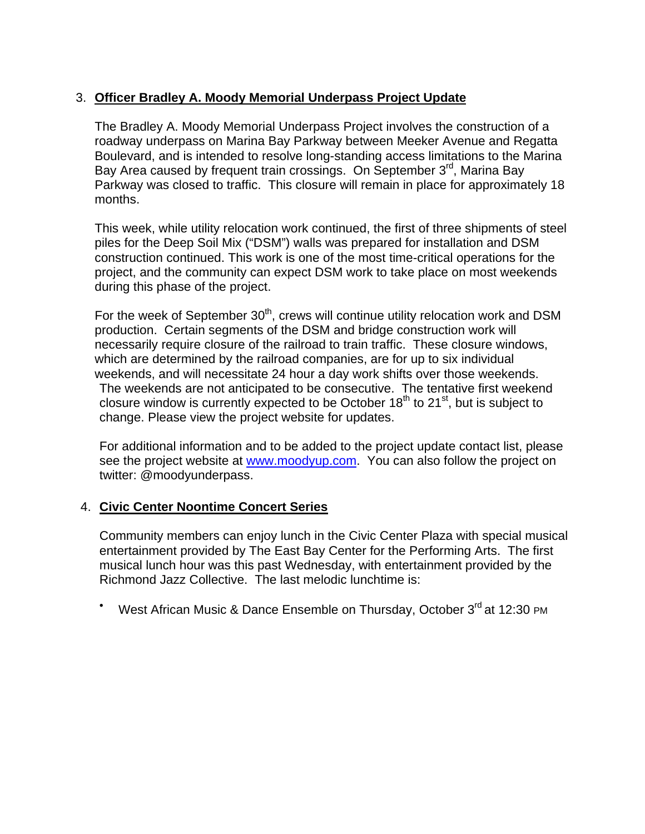# 3. **Officer Bradley A. Moody Memorial Underpass Project Update**

The Bradley A. Moody Memorial Underpass Project involves the construction of a roadway underpass on Marina Bay Parkway between Meeker Avenue and Regatta Boulevard, and is intended to resolve long-standing access limitations to the Marina Bay Area caused by frequent train crossings. On September 3<sup>rd</sup>, Marina Bay Parkway was closed to traffic. This closure will remain in place for approximately 18 months.

This week, while utility relocation work continued, the first of three shipments of steel piles for the Deep Soil Mix ("DSM") walls was prepared for installation and DSM construction continued. This work is one of the most time-critical operations for the project, and the community can expect DSM work to take place on most weekends during this phase of the project.

For the week of September  $30<sup>th</sup>$ , crews will continue utility relocation work and DSM production. Certain segments of the DSM and bridge construction work will necessarily require closure of the railroad to train traffic. These closure windows, which are determined by the railroad companies, are for up to six individual weekends, and will necessitate 24 hour a day work shifts over those weekends. The weekends are not anticipated to be consecutive. The tentative first weekend closure window is currently expected to be October  $18<sup>th</sup>$  to  $21<sup>st</sup>$ , but is subject to change. Please view the project website for updates.

For additional information and to be added to the project update contact list, please see the project website at www.moodyup.com. You can also follow the project on twitter: @moodyunderpass.

## 4. **Civic Center Noontime Concert Series**

Community members can enjoy lunch in the Civic Center Plaza with special musical entertainment provided by The East Bay Center for the Performing Arts. The first musical lunch hour was this past Wednesday, with entertainment provided by the Richmond Jazz Collective. The last melodic lunchtime is:

 $\bullet$ West African Music & Dance Ensemble on Thursday, October 3<sup>rd</sup> at 12:30 PM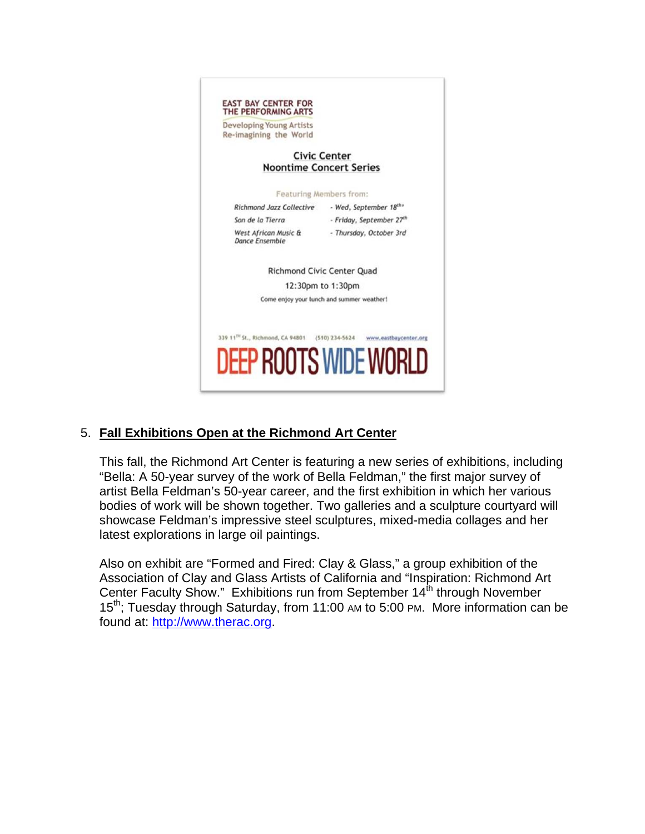

## 5. **Fall Exhibitions Open at the Richmond Art Center**

This fall, the Richmond Art Center is featuring a new series of exhibitions, including "Bella: A 50-year survey of the work of Bella Feldman," the first major survey of artist Bella Feldman's 50-year career, and the first exhibition in which her various bodies of work will be shown together. Two galleries and a sculpture courtyard will showcase Feldman's impressive steel sculptures, mixed-media collages and her latest explorations in large oil paintings.

Also on exhibit are "Formed and Fired: Clay & Glass," a group exhibition of the Association of Clay and Glass Artists of California and "Inspiration: Richmond Art Center Faculty Show." Exhibitions run from September 14<sup>th</sup> through November 15<sup>th</sup>; Tuesday through Saturday, from 11:00 AM to 5:00 PM. More information can be found at: http://www.therac.org.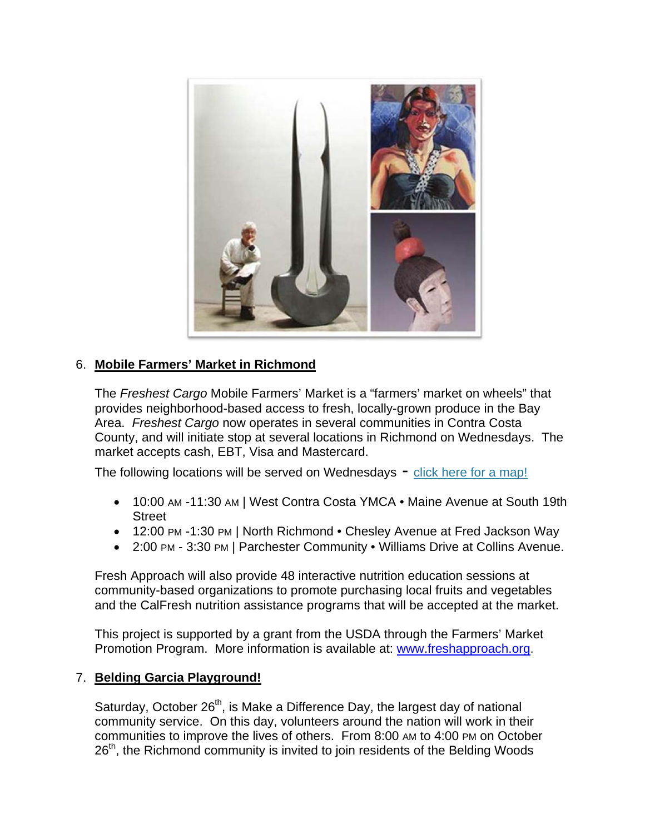

# 6. **Mobile Farmers' Market in Richmond**

The *Freshest Cargo* Mobile Farmers' Market is a "farmers' market on wheels" that provides neighborhood-based access to fresh, locally-grown produce in the Bay Area. *Freshest Cargo* now operates in several communities in Contra Costa County, and will initiate stop at several locations in Richmond on Wednesdays. The market accepts cash, EBT, Visa and Mastercard.

The following locations will be served on Wednesdays - click here for a map!

- 10:00 AM -11:30 AM | West Contra Costa YMCA Maine Avenue at South 19th **Street**
- 12:00 PM -1:30 PM | North Richmond Chesley Avenue at Fred Jackson Way
- 2:00 PM 3:30 PM | Parchester Community Williams Drive at Collins Avenue.

Fresh Approach will also provide 48 interactive nutrition education sessions at community-based organizations to promote purchasing local fruits and vegetables and the CalFresh nutrition assistance programs that will be accepted at the market.

This project is supported by a grant from the USDA through the Farmers' Market Promotion Program. More information is available at: www.freshapproach.org.

#### 7. **Belding Garcia Playground!**

Saturday, October 26<sup>th</sup>, is Make a Difference Day, the largest day of national community service. On this day, volunteers around the nation will work in their communities to improve the lives of others. From 8:00 AM to 4:00 PM on October 26<sup>th</sup>, the Richmond community is invited to join residents of the Belding Woods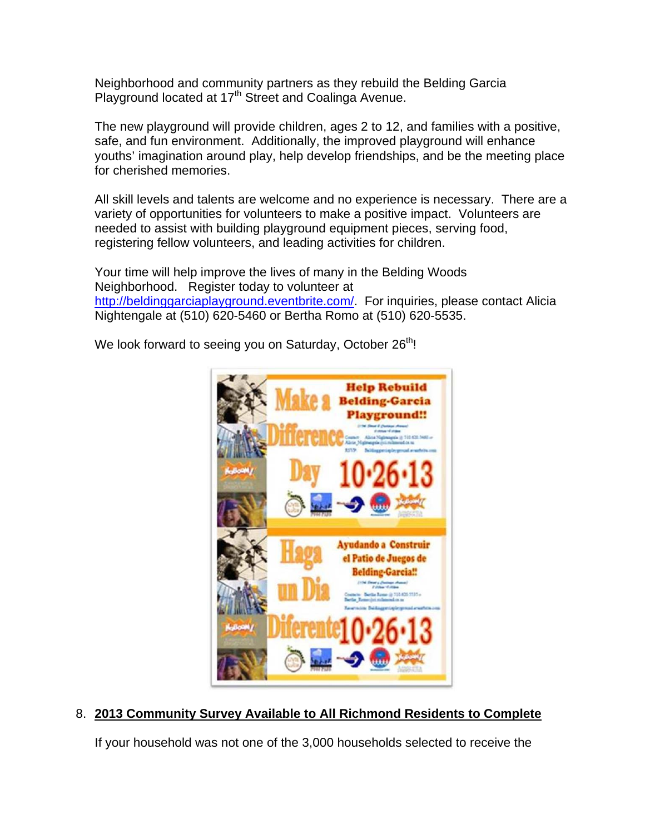Neighborhood and community partners as they rebuild the Belding Garcia Playground located at 17<sup>th</sup> Street and Coalinga Avenue.

The new playground will provide children, ages 2 to 12, and families with a positive, safe, and fun environment. Additionally, the improved playground will enhance youths' imagination around play, help develop friendships, and be the meeting place for cherished memories.

All skill levels and talents are welcome and no experience is necessary. There are a variety of opportunities for volunteers to make a positive impact. Volunteers are needed to assist with building playground equipment pieces, serving food, registering fellow volunteers, and leading activities for children.

Your time will help improve the lives of many in the Belding Woods Neighborhood. Register today to volunteer at http://beldinggarciaplayground.eventbrite.com/. For inquiries, please contact Alicia Nightengale at (510) 620-5460 or Bertha Romo at (510) 620-5535.

We look forward to seeing you on Saturday, October  $26<sup>th</sup>$ !



## 8. **2013 Community Survey Available to All Richmond Residents to Complete**

If your household was not one of the 3,000 households selected to receive the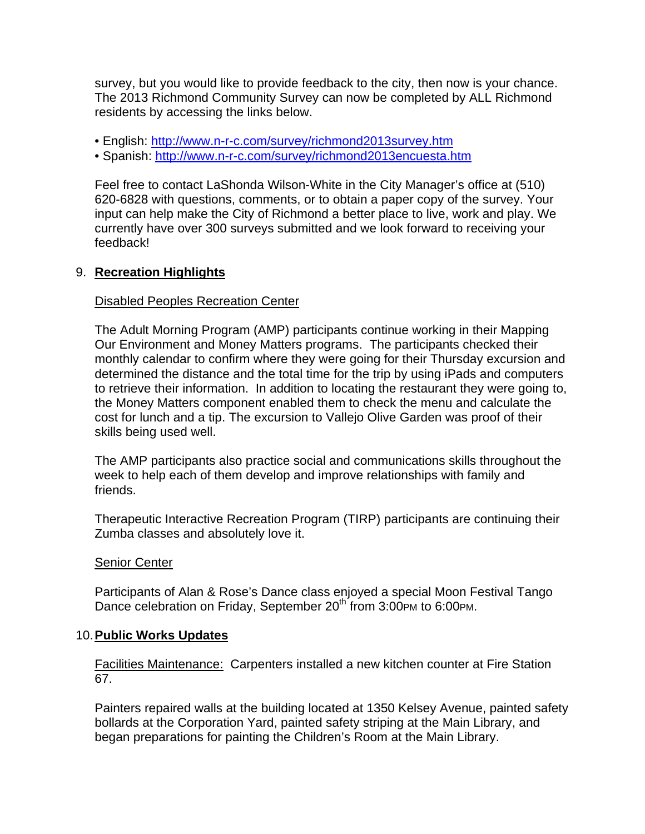survey, but you would like to provide feedback to the city, then now is your chance. The 2013 Richmond Community Survey can now be completed by ALL Richmond residents by accessing the links below.

- English: http://www.n-r-c.com/survey/richmond2013survey.htm
- Spanish: http://www.n-r-c.com/survey/richmond2013encuesta.htm

Feel free to contact LaShonda Wilson-White in the City Manager's office at (510) 620-6828 with questions, comments, or to obtain a paper copy of the survey. Your input can help make the City of Richmond a better place to live, work and play. We currently have over 300 surveys submitted and we look forward to receiving your feedback!

#### 9. **Recreation Highlights**

#### Disabled Peoples Recreation Center

The Adult Morning Program (AMP) participants continue working in their Mapping Our Environment and Money Matters programs. The participants checked their monthly calendar to confirm where they were going for their Thursday excursion and determined the distance and the total time for the trip by using iPads and computers to retrieve their information. In addition to locating the restaurant they were going to, the Money Matters component enabled them to check the menu and calculate the cost for lunch and a tip. The excursion to Vallejo Olive Garden was proof of their skills being used well.

The AMP participants also practice social and communications skills throughout the week to help each of them develop and improve relationships with family and friends.

Therapeutic Interactive Recreation Program (TIRP) participants are continuing their Zumba classes and absolutely love it.

#### Senior Center

Participants of Alan & Rose's Dance class enjoyed a special Moon Festival Tango Dance celebration on Friday, September 20<sup>th</sup> from 3:00PM to 6:00PM.

#### 10. **Public Works Updates**

Facilities Maintenance: Carpenters installed a new kitchen counter at Fire Station 67.

Painters repaired walls at the building located at 1350 Kelsey Avenue, painted safety bollards at the Corporation Yard, painted safety striping at the Main Library, and began preparations for painting the Children's Room at the Main Library.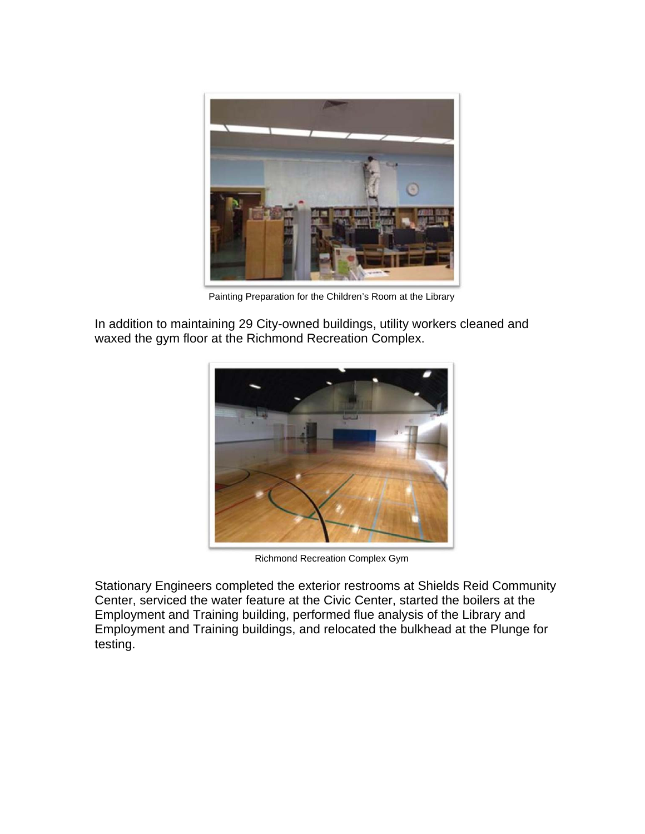

Painting Preparation for the Children's Room at the Library

In addition to maintaining 29 City-owned buildings, utility workers cleaned and waxed the gym floor at the Richmond Recreation Complex.



Richmond Recreation Complex Gym

Stationary Engineers completed the exterior restrooms at Shields Reid Community Center, serviced the water feature at the Civic Center, started the boilers at the Employment and Training building, performed flue analysis of the Library and Employment and Training buildings, and relocated the bulkhead at the Plunge for testing.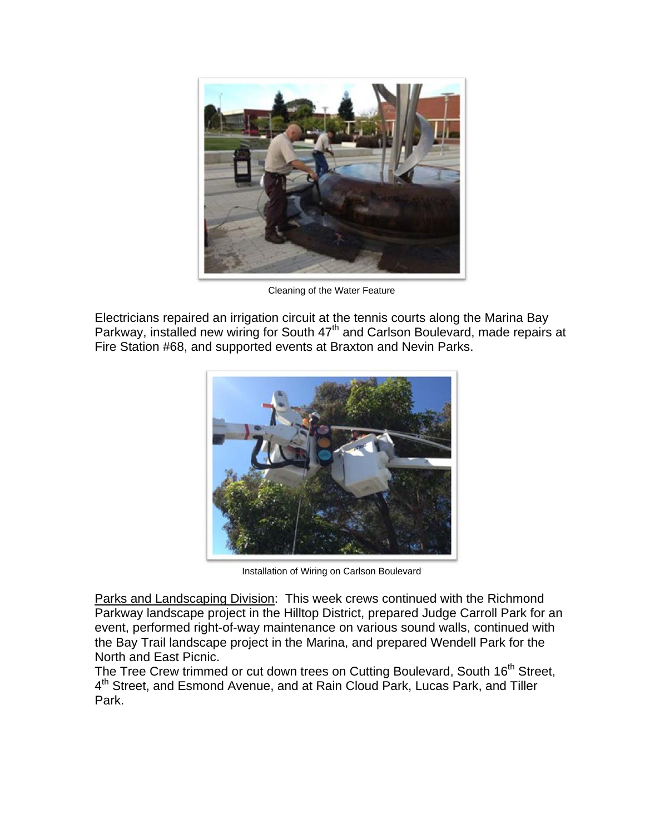

Cleaning of the Water Feature

Electricians repaired an irrigation circuit at the tennis courts along the Marina Bay Parkway, installed new wiring for South 47<sup>th</sup> and Carlson Boulevard, made repairs at Fire Station #68, and supported events at Braxton and Nevin Parks.



Installation of Wiring on Carlson Boulevard

Parks and Landscaping Division: This week crews continued with the Richmond Parkway landscape project in the Hilltop District, prepared Judge Carroll Park for an event, performed right-of-way maintenance on various sound walls, continued with the Bay Trail landscape project in the Marina, and prepared Wendell Park for the North and East Picnic.

The Tree Crew trimmed or cut down trees on Cutting Boulevard, South 16<sup>th</sup> Street, 4<sup>th</sup> Street, and Esmond Avenue, and at Rain Cloud Park, Lucas Park, and Tiller Park.